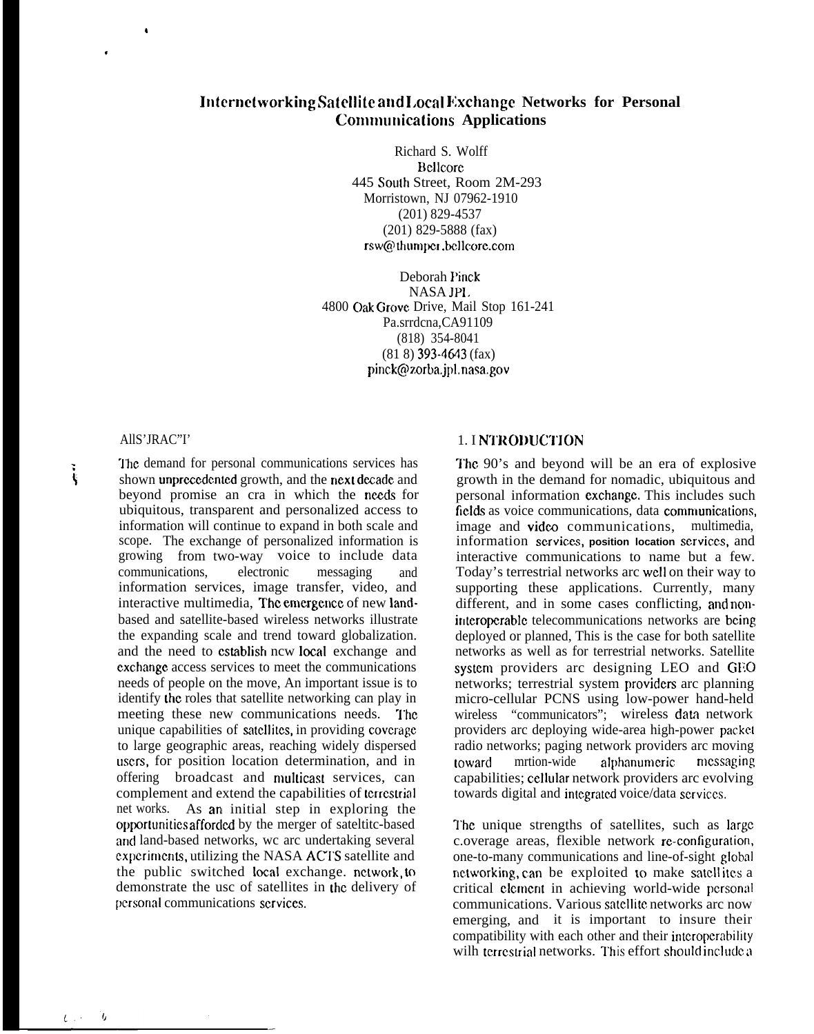# **Internetworking Satellite and Local Exchange Networks for Personal Communications Applications**

Richard S. Wolff Bellcore 445 South Street, Room 2M-293 Morristown, NJ 07962-1910 (201) 829-4537 (201) 829-5888 (fax) rsw@thumper.bellcore.com

Deborah Pinck NASA JPI. 4800 Oak Grove Drive, Mail Stop 161-241 Pa.srrdcna,CA91109 (818) 354-8041  $(81 8)$  393-4643 (fax) pinck@zorba.jpl, nasa.gov

#### AllS'JRAC"I'

I

,

'1'hc demand for personal communications services has  $\ddot{\textbf{s}}$  shown unprecedented growth, and the next decade and beyond promise an cra in which the needs for ubiquitous, transparent and personalized access to information will continue to expand in both scale and scope. The exchange of personalized information is growing from two-way voice to include data communications, electronic messaging and information services, image transfer, video, and interactive multimedia, The emergence of new landbased and satellite-based wireless networks illustrate the expanding scale and trend toward globalization. and the need to establish ncw local exchange and cxchangc access services to meet the communications needs of people on the move, An important issue is to identify the roles that satellite networking can play in meeting these new communications needs. The unique capabilities of satellites, in providing coverage to large geographic areas, reaching widely dispersed users, for position location determination, and in offering broadcast and multicast services, can complement and extend the capabilities of lcrrcstrial net works. As an initial step in exploring the opportunities afforded by the merger of sateltitc-based and land-based networks, wc arc undertaking several experiments, utilizing the NASA ACTS satellite and the public switched local exchange. network, to demonstrate the usc of satellites in the delivery of personal communications services.

#### 1. I NTRODUCTION

The 90's and beyond will be an era of explosive growth in the demand for nomadic, ubiquitous and personal information cxchangc. This includes such fields as voice communications, data communications, image and video communications, multimedia, information services, position location services, and interactive communications to name but a few. Today's terrestrial networks arc WCII on their way to supporting these applications. Currently, many different, and in some cases conflicting, and noninteroperable telecommunications networks are being. deployed or planned, This is the case for both satellite networks as well as for terrestrial networks. Satellite systcm providers arc designing LEO and GEO networks; terrestrial system providers arc planning micro-cellular PCNS using low-power hand-held wireless "communicators"; wireless data network providers arc deploying wide-area high-power packet radio networks; paging network providers arc moving toward mrtion-wide alphanumeric messaging capabilities; cellular network providers arc evolving towards digital and integrated voice/data services.

I'hc unique strengths of satellites, such as large c.overage areas, flexible network rc-configuration, one-to-many communications and line-of-sight global nctworking, can be exploited to make satellites a critical element in achieving world-wide personal communications. Various satellite networks arc now emerging, and it is important to insure their compatibility with each other and their intcropcrahility wilh terrestrial networks. This effort should include a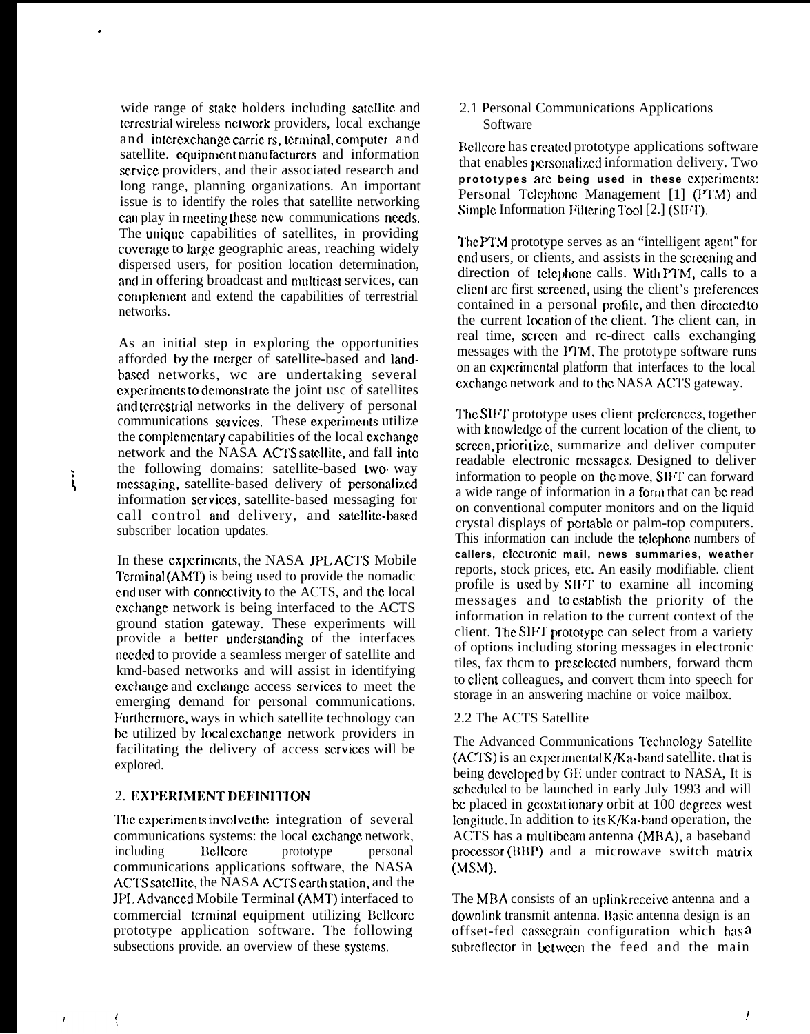wide range of stake holders including satellite and terrestrial wireless network providers, local exchange and interexchange carriers, terminal, computer and satellite. cquipment manufacturers and information scrvicc providers, and their associated research and long range, planning organizations. An important issue is to identify the roles that satellite networking can play in meeting these new communications needs. The unique capabilities of satellites, in providing coverage to large geographic areas, reaching widely dispersed users, for position location determination, and in offering broadcast and multicast services, can complement and extend the capabilities of terrestrial networks.

.

As an initial step in exploring the opportunities afforded by the rncrgcr of satellite-based and landbased networks, wc are undertaking several experiments to demonstrate the joint usc of satellites and terrestrial networks in the delivery of personal communications services. These experiments utilize the complementary capabilities of the local exchange network and the NASA ACTS satellite, and fall into the following domains: satellite-based two. way the following domains, satellite-based two way<br>see messaging, satellite-based delivery of personalized information services, satellite-based messaging for call control and delivery, and satellite-based subscriber location updates.

> In these experiments, the NASA JPL ACTS Mobile Terminal (AMT) is being used to provide the nomadic end user with connectivity to the ACTS, and the local cxchangc network is being interfaced to the ACTS ground station gateway. These experiments will provide a better understanding of the interfaces nccdcd to provide a seamless merger of satellite and kmd-based networks and will assist in identifying cxchangc and cxclhangc access scrviccs to meet the emerging demand for personal communications. Furthermore, ways in which satellite technology can be utilized by local exchange network providers in facilitating the delivery of access scrviccs will be explored.

## 2. EXPERIMENT DEFINITION

The experiments involve the integration of several communications systems: the local cxchangc network, including Bcllcorc prototype personal communications applications software, the NASA ACTS satellite, the NASA ACTS carth station, and the JP1, Adwmccd Mobile Terminal (AMT) interfaced to commercial terminal equipment utilizing Bellcore prototype application software. The following subsections provide. an overview of these systems.

2.1 Personal Communications Applications Software

Bellcore has created prototype applications software that enables personalized information delivery. Two prototypes are being used in these experiments: Personal Tclephone Management [1] (PTM) and Simple Information Filtering Tool [2.] (SIFT).

The PTM prototype serves as an "intelligent agent" for end users, or clients, and assists in the screening and direction of telephone calls. With PTM, calls to a client arc first screened, using the client's preferences contained in a personal profile, and then directed to the current location of the client. The client can, in real time, scrccn and rc-direct calls exchanging messages with the PTM. The prototype software runs on an cxpcrirncntal platform that interfaces to the local exchange network and to the NASA ACTS gateway.

The SIFT prototype uses client preferences, together with knowledge of the current location of the client, to screen, prioritize, summarize and deliver computer readable electronic messages. Designed to deliver information to people on the move, SIF1' can forward a wide range of information in a form that can be read on conventional computer monitors and on the liquid crystal displays of portable or palm-top computers. This information can include the tclcphonc numbers of callers, clectronic mail, news summaries, weather reports, stock prices, etc. An easily modifiable. client profile is used by SIFT to examine all incoming messages and to establish the priority of the information in relation to the current context of the client. The SIFT prototype can select from a variety of options including storing messages in electronic tiles, fax thcm to prcsclccted numbers, forward thcm to client colleagues, and convert thcm into speech for storage in an answering machine or voice mailbox.

### 2.2 The ACTS Satellite

The Advanced Communications Technology Satellite  $(ACTS)$  is an experimental K/Ka-band satellite. that is being developed by GE under contract to NASA, It is schcdulcd to be launched in early July 1993 and will be placed in geostationary orbit at 100 degrees west Iongitude. In addition to its  $K/Ka$ -band operation, the ACTS has a multibcam antenna (MBA), a baseband  $procession (BBP)$  and a microwave switch matrix (MSM).

The MBA consists of an uplink receive antenna and a downlink transmit antenna. Basic antenna design is an offset-fed casscgrain configuration which has <sup>o</sup> subreflector in between the feed and the main

ţ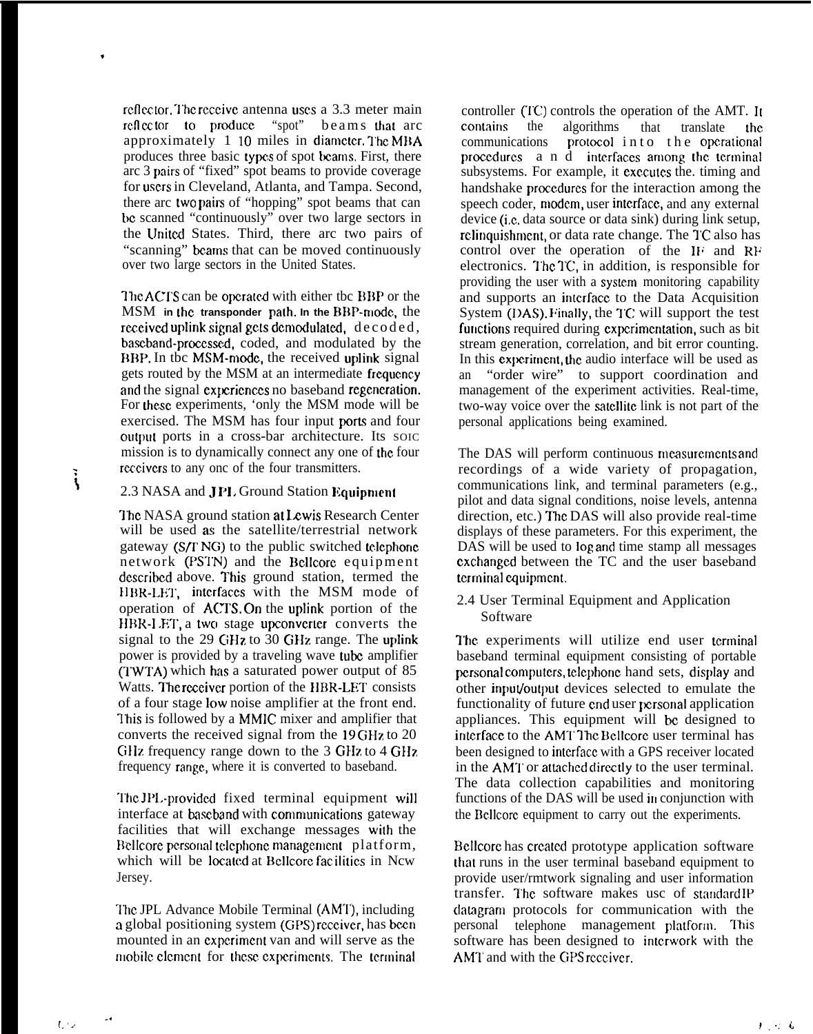reflector. The receive antenna uses a 3.3 meter main reflector to produce "spot" beams that arc approximately  $1 \ 10 \ \text{miles}$  in diameter. The MBA produces three basic types of spot beams. First, there arc 3 pairs of "fixed" spot beams to provide coverage for users in Cleveland, Atlanta, and Tampa. Second, there arc two pairs of "hopping" spot beams that can bc scanned "continuously" over two large sectors in the United States. Third, there arc two pairs of "scanning" beams that can be moved continuously over two large sectors in the United States.

.

 $\ddot{\cdot}$ 

The ACTS can be operated with either tbc BBP or the MSM **in the transponder path. In the** B13P-nmdc, the received uplink signal gets demodulated,  $decode d$ , baseband-proecsscd, coded, and modulated by the 1111. BBP. In the MSM-mode, the received uplink signal gets routed by the MSM at an intermediate frequcmcy and the signal experiences no baseband regeneration. For these experiments, 'only the MSM mode will be exercised. The MSM has four input ports and four output ports in a cross-bar architecture. Its SOIC mission is to dynamically connect any one of the four reccivers to any onc of the four transmitters.

#### 2.3 NASA and **JPL** Ground Station Equipment

The NASA ground station at Lewis Research Center will be used as the satellite/terrestrial network gateway  $(S/\Gamma NG)$  to the public switched telephone network (PSTN) and the Bellcore equipment described above. This ground station, termed the HBR-LET, interfaces with the MSM mode of operation of  $\angle$ ACTS. On the uplink portion of the HBR-LET, a two stage upconverter converts the signal to the  $29$  GHz to  $30$  GHz range. The uplink power is provided by a traveling wave tube amplifier  $(TWTA)$  which has a saturated power output of 85 Watts. The receiver portion of the HBR-LET consists of a four stage low noise amplifier at the front end. l'his is followed by a MMIC mixer and amplifier that converts the received signal from the 19 GHz to 20 GHz frequency range down to the 3 GHz to 4 GHz. frequency range, where it is converted to baseband.

'1'hc JI'L-provided fixed terminal equipment will interface at baseband with communications gateway facilities that will exchange messages with the Bellcore personal telephone management platform, which will be located at Bellcore facilities in Ncw Jersey.

The JPL Advance Mobile Terminal (AMT), including a global positioning system (GPS) receiver, has been mounted in an cxpcrimcnt van and will serve as the mobile element for these experiments. The terminal

controller  $(TC)$  controls the operation of the AMT. It contains the algorithms that translate the communications protocol in to the operational protocol into the operational procedures a n d interfaces among the terminal subsystems. For example, it executes the. timing and handshake procedures for the interaction among the speech coder, modem, user interface, and any external device (i,c. data source or data sink) during link setup, rclinquishment, or data rate change. The TC also has control over the operation of the IF and RF electronics. The TC, in addition, is responsible for providing the user with a system monitoring capability and supports an intcrfacc to the Data Acquisition System (DAS). Finally, the TC will support the test functions required during experimentation, such as bit stream generation, correlation, and bit error counting. In this experiment, the audio interface will be used as an "order wire" to support coordination and management of the experiment activities. Real-time, two-way voice over the satellite link is not part of the personal applications being examined.

The DAS will perform continuous measurements and recordings of a wide variety of propagation, communications link, and terminal parameters (e.g., pilot and data signal conditions, noise levels, antenna direction, etc.) The DAS will also provide real-time displays of these parameters. For this experiment, the DAS will be used to log and time stamp all messages cxchangcd between the TC and the user baseband terminal equipment.

2.4 User Terminal Equipment and Application Software

The experiments will utilize end user terminal baseband terminal equipment consisting of portable personal computers, telephone hand sets, display and other input/output devices selected to emulate the functionality of future end user personal application appliances. This equipment will bc designed to interface to the AMT The Bellcore user terminal has been designed to intcrfacc with a GPS receiver located in the AMT or attached directly to the user terminal. The data collection capabilities and monitoring functions of the DAS will be used in conjunction with the Bellcore equipment to carry out the experiments.

Bellcore has created prototype application software that runs in the user terminal baseband equipment to provide user/rmtwork signaling and user information transfer. I'hc software makes usc of stnndard 1P datagram protocols for communication with the personal telephone management platform. This software has been designed to intcrwork with the AMT and with the GPS receiver.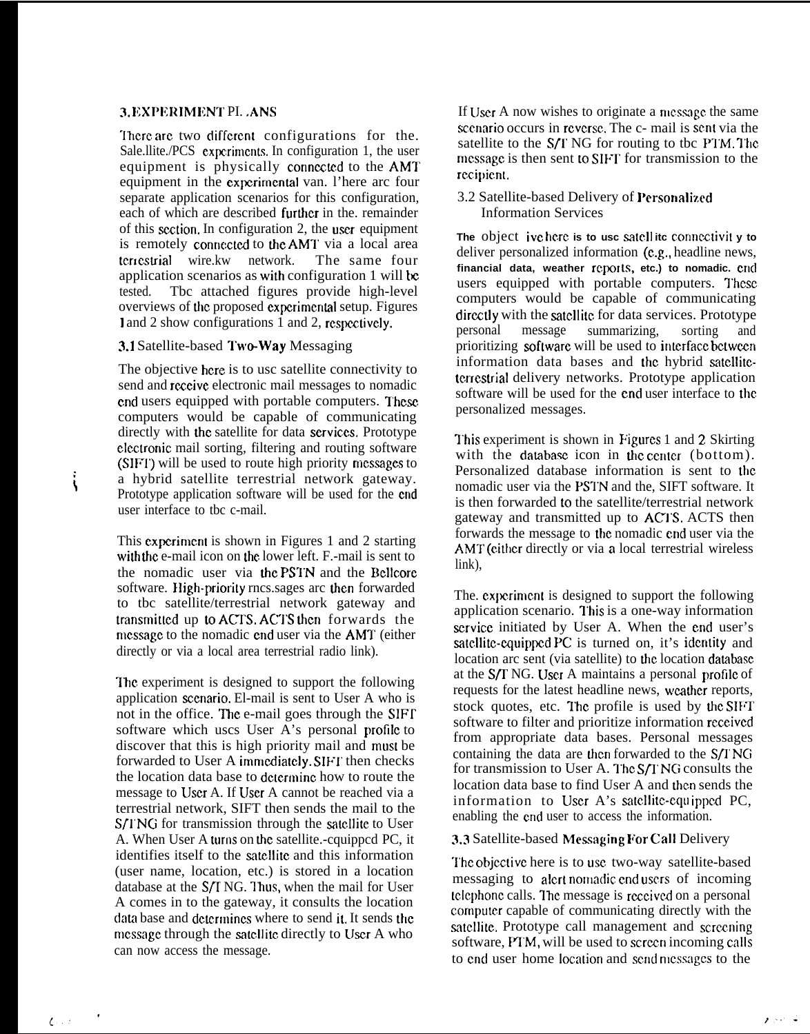# 3. EXPERIMENT PI. . ANS

There are two different configurations for the. Sale.llite./PCS cxpcrimcnts. In configuration 1, the user equipment is physically connected to the AMT equipment in the experimental van. l'here arc four separate application scenarios for this configuration, each of which are described further in the. remainder of this section. In configuration 2, the user equipment is remotely connected to the AMT via a local area temcstrial wire.kw network. The same four application scenarios as with configuration 1 will be tested. Tbc attached figures provide high-level overviews of tbc proposed cxpcrimcntal setup. Figures 1 and 2 show configurations 1 and 2, respectively.

# 3.1 Satellite-based Two-Way Messaging

i

**("**

The objective here is to usc satellite connectivity to send and rcccive electronic mail messages to nomadic end users equipped with portable computers. These computers would be capable of communicating directly with the satellite for data services. Prototype clectronic mail sorting, filtering and routing software (SIFT) will be used to route high priority messages to a hybrid satellite terrestrial network gateway. Prototype application software will be used for the cnd user interface to tbc c-mail.

This experiment is shown in Figures 1 and 2 starting with the e-mail icon on the lower left. F.-mail is sent to the nomadic user via the PSTN and the Bellcore software. High-priority rncs sages arc then forwarded to tbc satellite/terrestrial network gateway and transmitted up to ACTS. ACTS then forwards the message to the nomadic end user via the AMT (either directly or via a local area terrestrial radio link).

The experiment is designed to support the following application secnario. El-mail is sent to User A who is not in the office. The e-mail goes through the SIFT software which uscs User A's personal profile to discover that this is high priority mail and must be forwarded to User A immediately. SIFT then checks the location data base to determine how to route the message to User A. If User A cannot be reached via a terrestrial network, SIFT then sends the mail to the S/1 NG for transmission through the satellite to User A. When User A turns on the satellite.-cquipped PC, it identifies itself to the satellite and this information (user name, location, etc.) is stored in a location database at the  $S/T$  NG. Thus, when the mail for User A comes in to the gateway, it consults the location data base and determines where to send it. It sends the message through the satellite directly to User A who can now access the message.

If User A now wishes to originate a message the same scenario occurs in reverse. The c- mail is sent via the satellite to the  $S/T$  NG for routing to tbc PTM. The message is then sent to SIFT for transmission to the rccipicnt.

# 3.2 Satellite-based Delivery of Personalized Information Services

**The** object **ivc hc.rc is to usc satcll itc conncctivit y to** deliver personalized information (c.g,, headline news, financial data, weather reports, etc.) to nomadic. end users equipped with portable computers. These computers would be capable of communicating directly with the satellite for data services. Prototype personal message summarizing, sorting and prioritizing software will be used to intcrfacc bctwccn information data bases and the hybrid satelliteterrestrial delivery networks. Prototype application software will be used for the end user interface to the personalized messages.

This experiment is shown in Figures 1 and 2 Skirting with the database icon in the center (bottom). Personalized database information is sent to the nomadic user via the PS1'N and the, SIFT software. It is then forwarded to the satellite/terrestrial network gateway and transmitted up to ACTS. ACTS then forwards the message to the nomadic end user via the AMT (either directly or via a local terrestrial wireless link),

The. experiment is designed to support the following application scenario. This is a one-way information scrvicc initiated by User A. When the cnd user's satellite-equipped PC is turned on, it's identity and location arc sent (via satellite) to the location database at the S/T NG. User A maintains a personal profile of requests for the latest headline news, weather reports, stock quotes, etc. The profile is used by the SIFT software to filter and prioritize information received from appropriate data bases. Personal messages containing the data are then forwarded to the S/TNG for transmission to User A. The S/T NG consults the location data base to find User A and then sends the information to User A's satellite-equipped PC, enabling the cnd user to access the information.

## 3.3 Satellite-based Messaging For Call Delivery

The objective here is to use two-way satellite-based. messaging to alert nomadic endusers of incoming. telephone calls. The message is received on a personal cornputcr capable of communicating directly with the satellite, Prototype call management and screening software, PTM, will be used to screen incoming calls to end user home location and send messages to the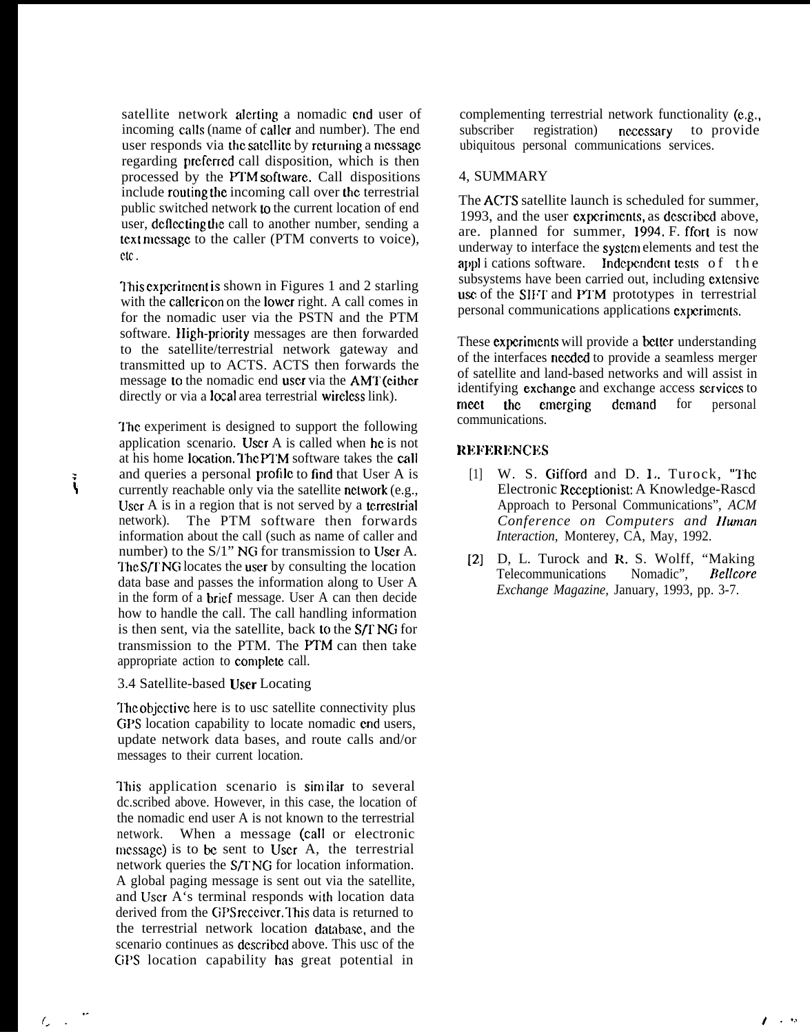satellite network alerting a nomadic end user of incoming calls (name of caller and number). The end user responds via the satellite by returning a message regarding preferred call disposition, which is then processed by the ITM soflwarc. Call dispositions include routing the incoming call over the terrestrial public switched network  $\omega$  the current location of end user, deflecting the call to another number, sending a text message to the caller (PTM converts to voice), c.c.

lhis cxpcrimcnt is shown in Figures 1 and 2 starling with the caller icon on the lower right. A call comes in for the nomadic user via the PSTN and the PTM software. IIigh-priority messages are then forwarded to the satellite/terrestrial network gateway and transmitted up to ACTS. ACTS then forwards the message to the nomadic end user via the AMT (either directly or via a local area terrestrial wircless link).

The experiment is designed to support the following application scenario. User A is called when he is not at his home location. The PTM software takes the call and queries a personal profile to find that User A is  $\ddot{\cdot}$  currently reachable only via the satellite network (e.g., User A is in a region that is not served by a terrestrial network). The PTM software then forwards information about the call (such as name of caller and number) to the  $S/1$ " NG for transmission to User A. The S/TNG locates the user by consulting the location data base and passes the information along to User A in the form of a brief message. User A can then decide how to handle the call. The call handling information is then sent, via the satellite, back to the  $S/T$  NG for transmission to the PTM. The PTM can then take appropriate action to complete call.

#### 3.4 Satellite-based User Locating

The objective here is to usc satellite connectivity plus GPS location capability to locate nomadic cnd users, update network data bases, and route calls and/or messages to their current location.

This application scenario is similar to several dc.scribed above. However, in this case, the location of the nomadic end user A is not known to the terrestrial network. When a message (call or electronic message) is to be sent to User A, the terrestrial network queries the S/T NG for location information. A global paging message is sent out via the satellite, and User A's terminal responds with location data derived from the GPS receiver. This data is returned to the terrestrial network location dambasc, and the scenario continues as dcscribcd above. This usc of the GPS location capability has great potential in

complementing terrestrial network functionality (e.g., subscriber registration) necessary to provide ubiquitous personal communications services.

### 4, SUMMARY

The ACTS satellite launch is scheduled for summer, 1993, and the user cxpcrimcnts, as dcscribcd above, are. planned for summer, 1994. F. ffort is now underway to interface the systcm elements and test the appli cations software. Independent tests of the subsystems have been carried out, including extensive use of the SIFT and PTM prototypes in terrestrial personal communications applications cxpcrimcnts.

These experiments will provide a better understanding of the interfaces nccdcd to provide a seamless merger of satellite and land-based networks and will assist in identifying exchange and exchange access services to meet the emerging demand for personal communications.

### REFERENCES

- [1] W. S. Gifford and D. I., Turock, "The Electronic Receptionist: A Knowledge-Rascd Approach to Personal Communications", *ACM Conference on Computers and IIurnan Interaction,* Monterey, CA, May, 1992.
- [2] D, L. Turock and R. S. Wolff, "Making Telecommunications Nomadic", Bellcore *Exchange Magazine,* January, 1993, pp. 3-7.